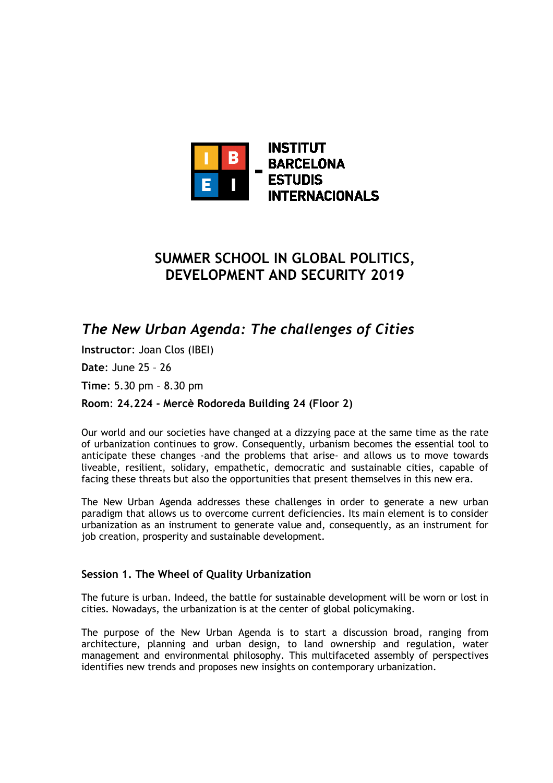

# **SUMMER SCHOOL IN GLOBAL POLITICS, DEVELOPMENT AND SECURITY 2019**

*The New Urban Agenda: The challenges of Cities* 

**Instructor**: Joan Clos (IBEI)

**Date**: June 25 – 26

**Time**: 5.30 pm – 8.30 pm

**Room**: **24.224 - Mercè Rodoreda Building 24 (Floor 2)**

Our world and our societies have changed at a dizzying pace at the same time as the rate of urbanization continues to grow. Consequently, urbanism becomes the essential tool to anticipate these changes -and the problems that arise- and allows us to move towards liveable, resilient, solidary, empathetic, democratic and sustainable cities, capable of facing these threats but also the opportunities that present themselves in this new era.

The New Urban Agenda addresses these challenges in order to generate a new urban paradigm that allows us to overcome current deficiencies. Its main element is to consider urbanization as an instrument to generate value and, consequently, as an instrument for job creation, prosperity and sustainable development.

# **Session 1. The Wheel of Quality Urbanization**

The future is urban. Indeed, the battle for sustainable development will be worn or lost in cities. Nowadays, the urbanization is at the center of global policymaking.

The purpose of the New Urban Agenda is to start a discussion broad, ranging from architecture, planning and urban design, to land ownership and regulation, water management and environmental philosophy. This multifaceted assembly of perspectives identifies new trends and proposes new insights on contemporary urbanization.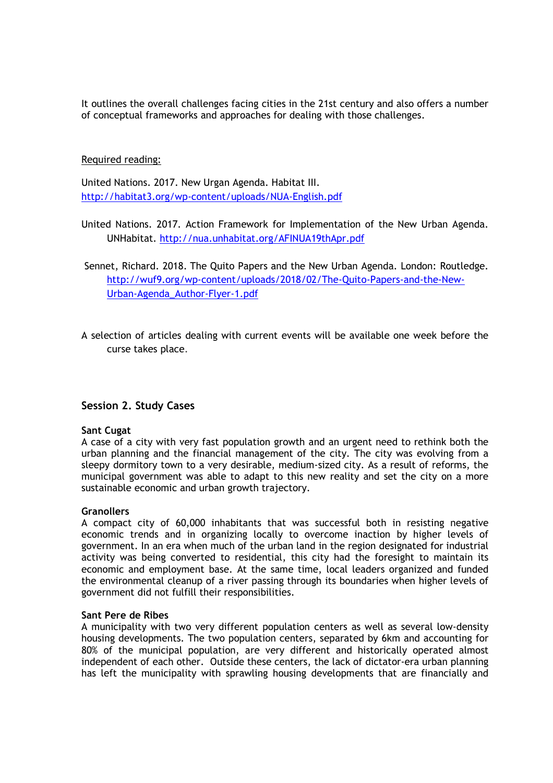It outlines the overall challenges facing cities in the 21st century and also offers a number of conceptual frameworks and approaches for dealing with those challenges.

# Required reading:

United Nations. 2017. New Urgan Agenda. Habitat III. http://habitat3.org/wp-content/uploads/NUA-English.pdf

- United Nations. 2017. Action Framework for Implementation of the New Urban Agenda. UNHabitat. http://nua.unhabitat.org/AFINUA19thApr.pdf
- Sennet, Richard. 2018. The Quito Papers and the New Urban Agenda. London: Routledge. http://wuf9.org/wp-content/uploads/2018/02/The-Quito-Papers-and-the-New-Urban-Agenda\_Author-Flyer-1.pdf
- A selection of articles dealing with current events will be available one week before the curse takes place.

# **Session 2. Study Cases**

## **Sant Cugat**

A case of a city with very fast population growth and an urgent need to rethink both the urban planning and the financial management of the city. The city was evolving from a sleepy dormitory town to a very desirable, medium-sized city. As a result of reforms, the municipal government was able to adapt to this new reality and set the city on a more sustainable economic and urban growth trajectory.

## **Granollers**

A compact city of 60,000 inhabitants that was successful both in resisting negative economic trends and in organizing locally to overcome inaction by higher levels of government. In an era when much of the urban land in the region designated for industrial activity was being converted to residential, this city had the foresight to maintain its economic and employment base. At the same time, local leaders organized and funded the environmental cleanup of a river passing through its boundaries when higher levels of government did not fulfill their responsibilities.

## **Sant Pere de Ribes**

A municipality with two very different population centers as well as several low-density housing developments. The two population centers, separated by 6km and accounting for 80% of the municipal population, are very different and historically operated almost independent of each other. Outside these centers, the lack of dictator-era urban planning has left the municipality with sprawling housing developments that are financially and